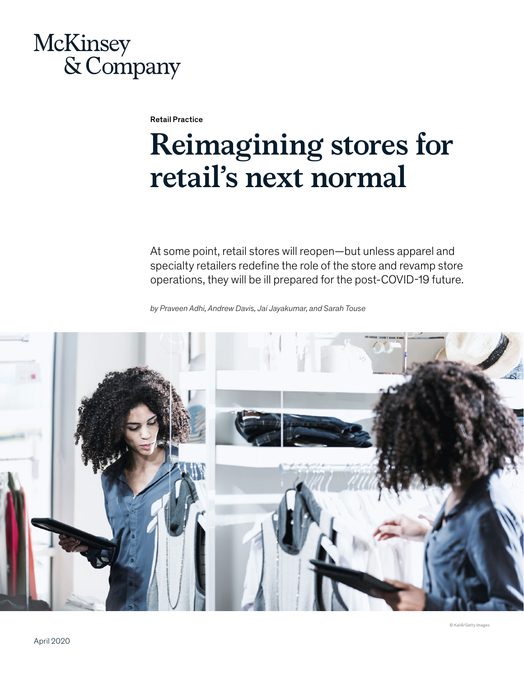# McKinsey & Company

Retail Practice

# **Reimagining stores for retail's next normal**

At some point, retail stores will reopen—but unless apparel and specialty retailers redefine the role of the store and revamp store operations, they will be ill prepared for the post-COVID-19 future.

*by Praveen Adhi, Andrew Davis, Jai Jayakumar, and Sarah Touse* 

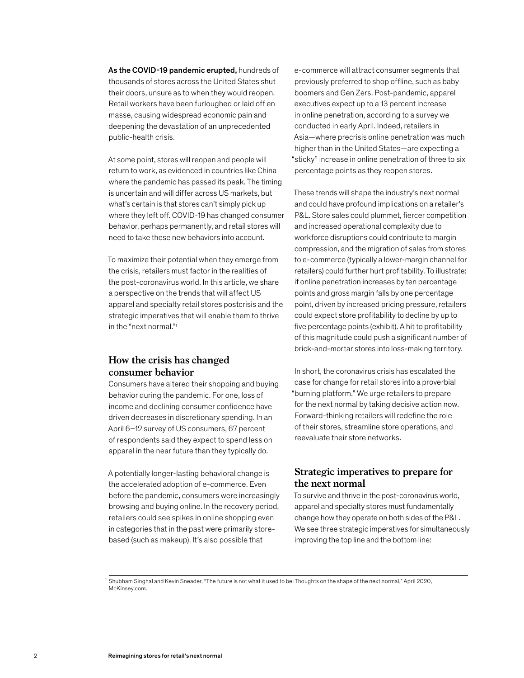As the COVID-19 pandemic erupted, hundreds of thousands of stores across the United States shut their doors, unsure as to when they would reopen. Retail workers have been furloughed or laid off en masse, causing widespread economic pain and deepening the devastation of an unprecedented public-health crisis.

At some point, stores will reopen and people will return to work, as evidenced in countries like China where the pandemic has passed its peak. The timing is uncertain and will differ across US markets, but what's certain is that stores can't simply pick up where they left off. COVID-19 has changed consumer behavior, perhaps permanently, and retail stores will need to take these new behaviors into account.

To maximize their potential when they emerge from the crisis, retailers must factor in the realities of the post-coronavirus world. In this article, we share a perspective on the trends that will affect US apparel and specialty retail stores postcrisis and the strategic imperatives that will enable them to thrive in the "next normal."<sup>1</sup>

# **How the crisis has changed consumer behavior**

Consumers have altered their shopping and buying behavior during the pandemic. For one, loss of income and declining consumer confidence have driven decreases in discretionary spending. In an April 6–12 survey of US consumers, 67 percent of respondents said they expect to spend less on apparel in the near future than they typically do.

A potentially longer-lasting behavioral change is the accelerated adoption of e-commerce. Even before the pandemic, consumers were increasingly browsing and buying online. In the recovery period, retailers could see spikes in online shopping even in categories that in the past were primarily storebased (such as makeup). It's also possible that

e-commerce will attract consumer segments that previously preferred to shop offline, such as baby boomers and Gen Zers. Post-pandemic, apparel executives expect up to a 13 percent increase in online penetration, according to a survey we conducted in early April. Indeed, retailers in Asia—where precrisis online penetration was much higher than in the United States—are expecting a "sticky" increase in online penetration of three to six percentage points as they reopen stores.

These trends will shape the industry's next normal and could have profound implications on a retailer's P&L. Store sales could plummet, fiercer competition and increased operational complexity due to workforce disruptions could contribute to margin compression, and the migration of sales from stores to e-commerce (typically a lower-margin channel for retailers) could further hurt profitability. To illustrate: if online penetration increases by ten percentage points and gross margin falls by one percentage point, driven by increased pricing pressure, retailers could expect store profitability to decline by up to five percentage points (exhibit). A hit to profitability of this magnitude could push a significant number of brick-and-mortar stores into loss-making territory.

In short, the coronavirus crisis has escalated the case for change for retail stores into a proverbial "burning platform." We urge retailers to prepare for the next normal by taking decisive action now. Forward-thinking retailers will redefine the role of their stores, streamline store operations, and reevaluate their store networks.

# **Strategic imperatives to prepare for the next normal**

To survive and thrive in the post-coronavirus world, apparel and specialty stores must fundamentally change how they operate on both sides of the P&L. We see three strategic imperatives for simultaneously improving the top line and the bottom line:

<sup>1</sup> Shubham Singhal and Kevin Sneader, "The future is not what it used to be: Thoughts on the shape of the next normal," April 2020, McKinsey.com.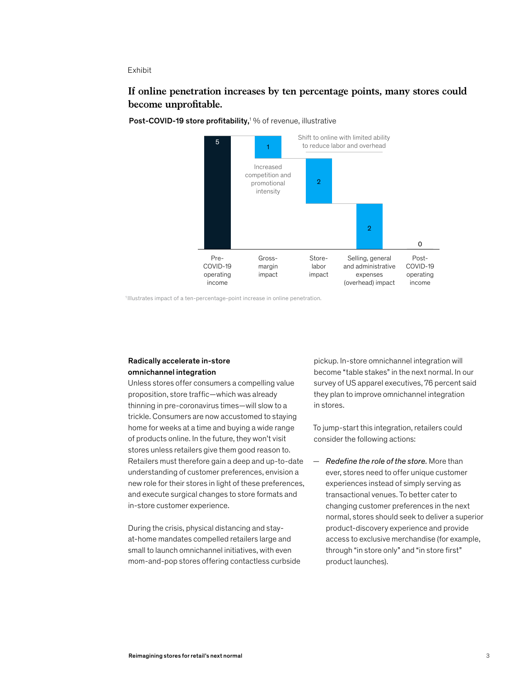#### Exhibit

# **If online penetration increases by ten percentage points, many stores could become unpro table.**





<sup>1</sup>Illustrates impact of a ten-percentage-point increase in online penetration.

#### Radically accelerate in-store omnichannel integration

Unless stores offer consumers a compelling value proposition, store traffic—which was already thinning in pre-coronavirus times—will slow to a trickle. Consumers are now accustomed to staying home for weeks at a time and buying a wide range of products online. In the future, they won't visit stores unless retailers give them good reason to. Retailers must therefore gain a deep and up-to-date understanding of customer preferences, envision a new role for their stores in light of these preferences, and execute surgical changes to store formats and in-store customer experience.

During the crisis, physical distancing and stayat-home mandates compelled retailers large and small to launch omnichannel initiatives, with even mom-and-pop stores offering contactless curbside pickup. In-store omnichannel integration will become "table stakes" in the next normal. In our survey of US apparel executives, 76 percent said they plan to improve omnichannel integration in stores.

To jump-start this integration, retailers could consider the following actions:

— *Redefine the role of the store.* More than ever, stores need to offer unique customer experiences instead of simply serving as transactional venues. To better cater to changing customer preferences in the next normal, stores should seek to deliver a superior product-discovery experience and provide access to exclusive merchandise (for example, through "in store only" and "in store first" product launches).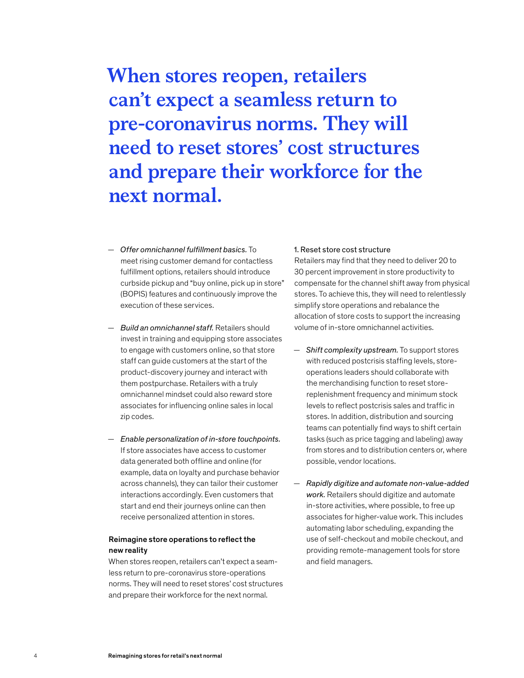**When stores reopen, retailers can't expect a seamless return to pre-coronavirus norms. They will need to reset stores' cost structures and prepare their workforce for the next normal.**

- *Offer omnichannel fulfillment basics.* To meet rising customer demand for contactless fulfillment options, retailers should introduce curbside pickup and "buy online, pick up in store" (BOPIS) features and continuously improve the execution of these services.
- *Build an omnichannel staff.* Retailers should invest in training and equipping store associates to engage with customers online, so that store staff can guide customers at the start of the product-discovery journey and interact with them postpurchase. Retailers with a truly omnichannel mindset could also reward store associates for influencing online sales in local zip codes.
- *Enable personalization of in-store touchpoints.*  If store associates have access to customer data generated both offline and online (for example, data on loyalty and purchase behavior across channels), they can tailor their customer interactions accordingly. Even customers that start and end their journeys online can then receive personalized attention in stores.

#### Reimagine store operations to reflect the new reality

When stores reopen, retailers can't expect a seamless return to pre-coronavirus store-operations norms. They will need to reset stores' cost structures and prepare their workforce for the next normal.

#### 1. Reset store cost structure

Retailers may find that they need to deliver 20 to 30 percent improvement in store productivity to compensate for the channel shift away from physical stores. To achieve this, they will need to relentlessly simplify store operations and rebalance the allocation of store costs to support the increasing volume of in-store omnichannel activities.

- *Shift complexity upstream.* To support stores with reduced postcrisis staffing levels, storeoperations leaders should collaborate with the merchandising function to reset storereplenishment frequency and minimum stock levels to reflect postcrisis sales and traffic in stores. In addition, distribution and sourcing teams can potentially find ways to shift certain tasks (such as price tagging and labeling) away from stores and to distribution centers or, where possible, vendor locations.
- *Rapidly digitize and automate non-value-added work.* Retailers should digitize and automate in-store activities, where possible, to free up associates for higher-value work. This includes automating labor scheduling, expanding the use of self-checkout and mobile checkout, and providing remote-management tools for store and field managers.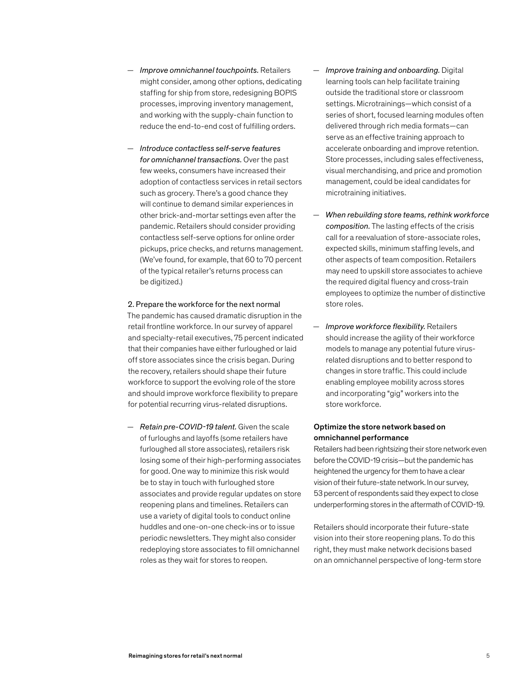— *Introduce contactless self-serve features for omnichannel transactions.* Over the past few weeks, consumers have increased their adoption of contactless services in retail sectors such as grocery. There's a good chance they will continue to demand similar experiences in other brick-and-mortar settings even after the pandemic. Retailers should consider providing contactless self-serve options for online order pickups, price checks, and returns management. (We've found, for example, that 60 to 70 percent of the typical retailer's returns process can be digitized.)

### 2. Prepare the workforce for the next normal The pandemic has caused dramatic disruption in the retail frontline workforce. In our survey of apparel and specialty-retail executives, 75 percent indicated that their companies have either furloughed or laid off store associates since the crisis began. During the recovery, retailers should shape their future workforce to support the evolving role of the store and should improve workforce flexibility to prepare for potential recurring virus-related disruptions.

— *Retain pre-COVID-19 talent.* Given the scale of furloughs and layoffs (some retailers have furloughed all store associates), retailers risk losing some of their high-performing associates for good. One way to minimize this risk would be to stay in touch with furloughed store associates and provide regular updates on store reopening plans and timelines. Retailers can use a variety of digital tools to conduct online huddles and one-on-one check-ins or to issue periodic newsletters. They might also consider redeploying store associates to fill omnichannel roles as they wait for stores to reopen.

- *Improve training and onboarding.* Digital learning tools can help facilitate training outside the traditional store or classroom settings. Microtrainings—which consist of a series of short, focused learning modules often delivered through rich media formats—can serve as an effective training approach to accelerate onboarding and improve retention. Store processes, including sales effectiveness, visual merchandising, and price and promotion management, could be ideal candidates for microtraining initiatives.
- *When rebuilding store teams, rethink workforce composition.* The lasting effects of the crisis call for a reevaluation of store-associate roles, expected skills, minimum staffing levels, and other aspects of team composition. Retailers may need to upskill store associates to achieve the required digital fluency and cross-train employees to optimize the number of distinctive store roles.
- *Improve workforce flexibility.* Retailers should increase the agility of their workforce models to manage any potential future virusrelated disruptions and to better respond to changes in store traffic. This could include enabling employee mobility across stores and incorporating "gig" workers into the store workforce.

#### Optimize the store network based on omnichannel performance

Retailers had been rightsizing their store network even before the COVID-19 crisis—but the pandemic has heightened the urgency for them to have a clear vision of their future-state network. In our survey, 53 percent of respondents said they expect to close underperforming stores in the aftermath of COVID-19.

Retailers should incorporate their future-state vision into their store reopening plans. To do this right, they must make network decisions based on an omnichannel perspective of long-term store